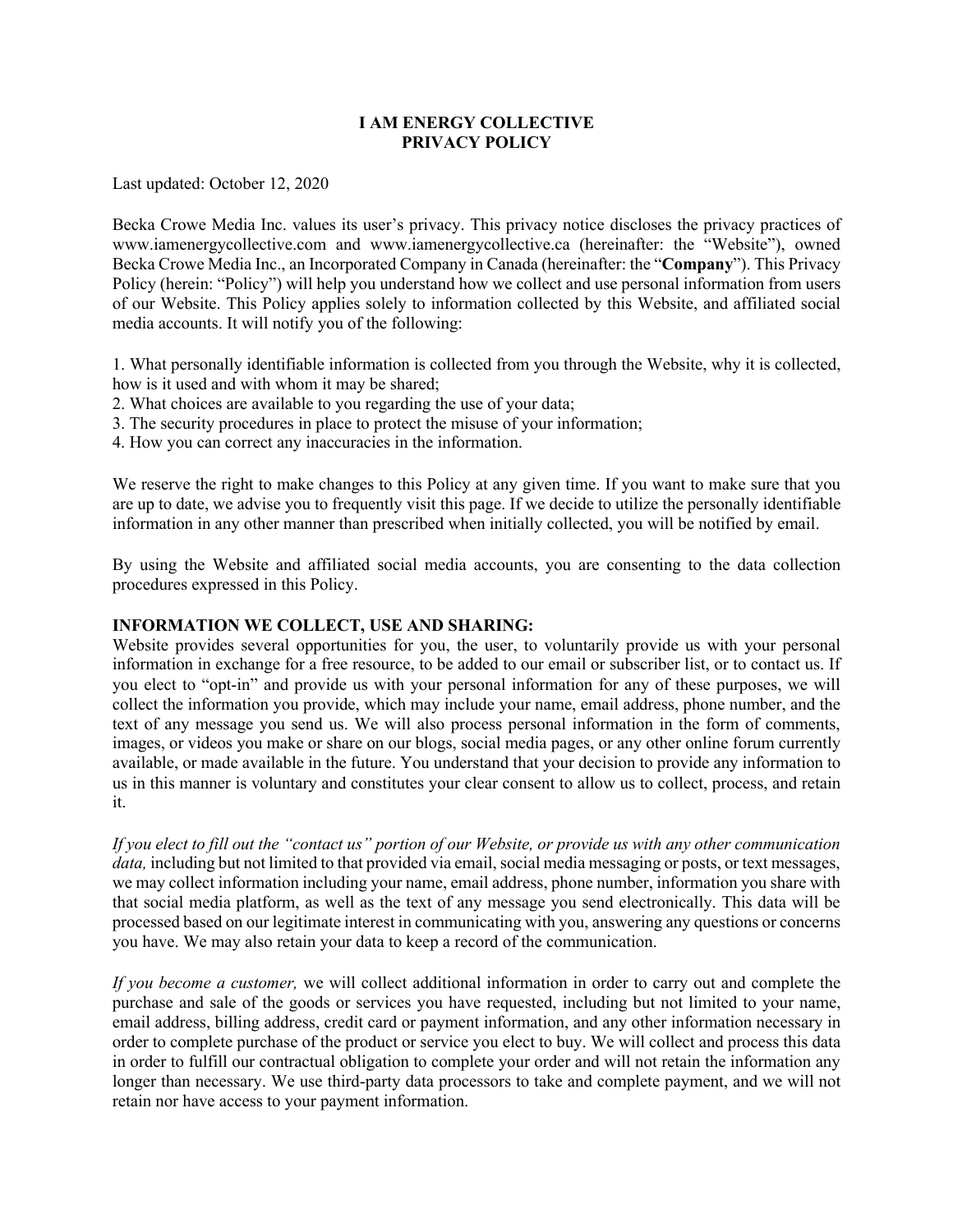## **I AM ENERGY COLLECTIVE PRIVACY POLICY**

Last updated: October 12, 2020

Becka Crowe Media Inc. values its user's privacy. This privacy notice discloses the privacy practices of www.iamenergycollective.com and www.iamenergycollective.ca (hereinafter: the "Website"), owned Becka Crowe Media Inc., an Incorporated Company in Canada (hereinafter: the "**Company**"). This Privacy Policy (herein: "Policy") will help you understand how we collect and use personal information from users of our Website. This Policy applies solely to information collected by this Website, and affiliated social media accounts. It will notify you of the following:

1. What personally identifiable information is collected from you through the Website, why it is collected, how is it used and with whom it may be shared;

- 2. What choices are available to you regarding the use of your data;
- 3. The security procedures in place to protect the misuse of your information;
- 4. How you can correct any inaccuracies in the information.

We reserve the right to make changes to this Policy at any given time. If you want to make sure that you are up to date, we advise you to frequently visit this page. If we decide to utilize the personally identifiable information in any other manner than prescribed when initially collected, you will be notified by email.

By using the Website and affiliated social media accounts, you are consenting to the data collection procedures expressed in this Policy.

#### **INFORMATION WE COLLECT, USE AND SHARING:**

Website provides several opportunities for you, the user, to voluntarily provide us with your personal information in exchange for a free resource, to be added to our email or subscriber list, or to contact us. If you elect to "opt-in" and provide us with your personal information for any of these purposes, we will collect the information you provide, which may include your name, email address, phone number, and the text of any message you send us. We will also process personal information in the form of comments, images, or videos you make or share on our blogs, social media pages, or any other online forum currently available, or made available in the future. You understand that your decision to provide any information to us in this manner is voluntary and constitutes your clear consent to allow us to collect, process, and retain it.

*If you elect to fill out the "contact us" portion of our Website, or provide us with any other communication data*, including but not limited to that provided via email, social media messaging or posts, or text messages, we may collect information including your name, email address, phone number, information you share with that social media platform, as well as the text of any message you send electronically. This data will be processed based on our legitimate interest in communicating with you, answering any questions or concerns you have. We may also retain your data to keep a record of the communication.

*If you become a customer,* we will collect additional information in order to carry out and complete the purchase and sale of the goods or services you have requested, including but not limited to your name, email address, billing address, credit card or payment information, and any other information necessary in order to complete purchase of the product or service you elect to buy. We will collect and process this data in order to fulfill our contractual obligation to complete your order and will not retain the information any longer than necessary. We use third-party data processors to take and complete payment, and we will not retain nor have access to your payment information.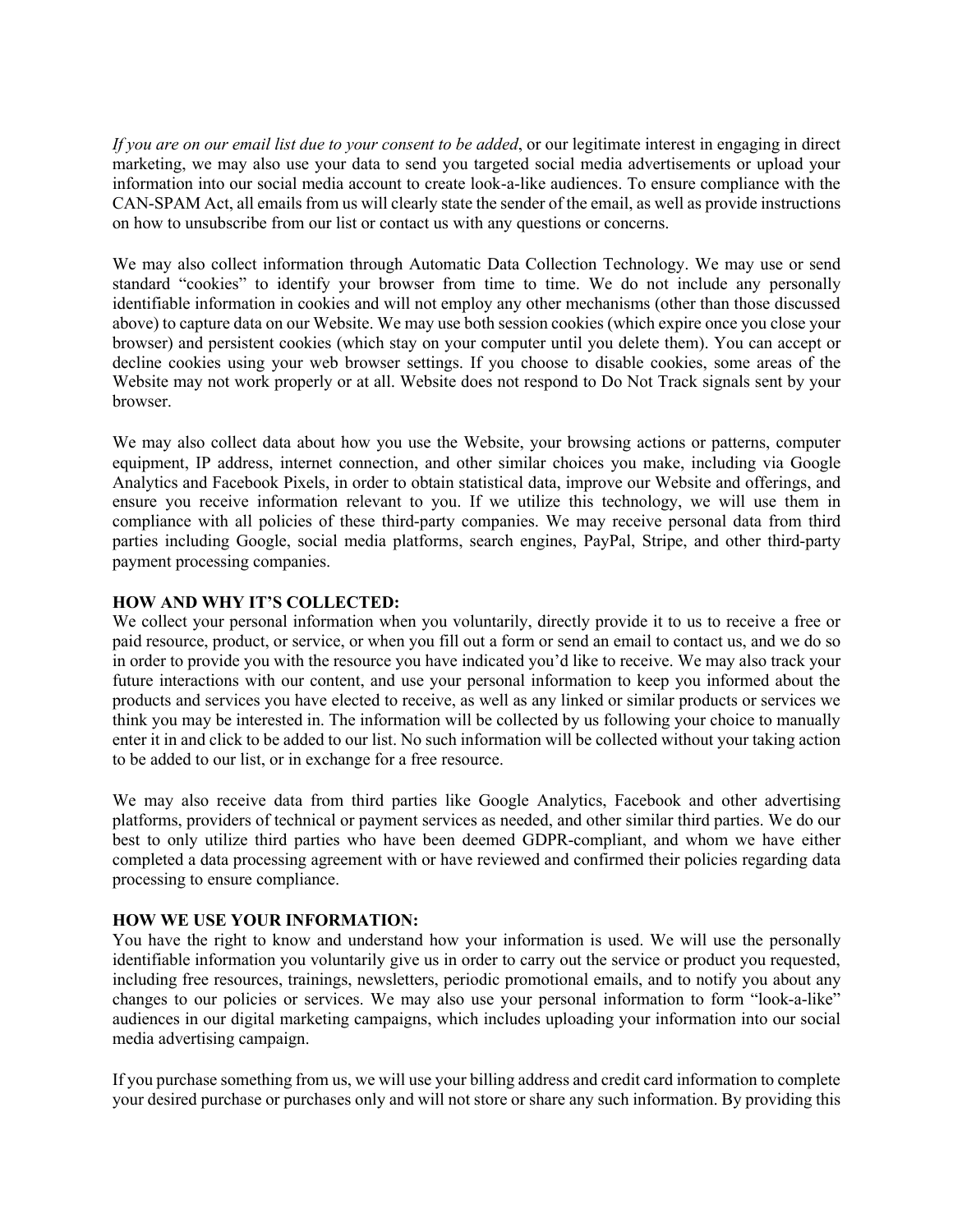*If you are on our email list due to your consent to be added*, or our legitimate interest in engaging in direct marketing, we may also use your data to send you targeted social media advertisements or upload your information into our social media account to create look-a-like audiences. To ensure compliance with the CAN-SPAM Act, all emails from us will clearly state the sender of the email, as well as provide instructions on how to unsubscribe from our list or contact us with any questions or concerns.

We may also collect information through Automatic Data Collection Technology. We may use or send standard "cookies" to identify your browser from time to time. We do not include any personally identifiable information in cookies and will not employ any other mechanisms (other than those discussed above) to capture data on our Website. We may use both session cookies (which expire once you close your browser) and persistent cookies (which stay on your computer until you delete them). You can accept or decline cookies using your web browser settings. If you choose to disable cookies, some areas of the Website may not work properly or at all. Website does not respond to Do Not Track signals sent by your browser.

We may also collect data about how you use the Website, your browsing actions or patterns, computer equipment, IP address, internet connection, and other similar choices you make, including via Google Analytics and Facebook Pixels, in order to obtain statistical data, improve our Website and offerings, and ensure you receive information relevant to you. If we utilize this technology, we will use them in compliance with all policies of these third-party companies. We may receive personal data from third parties including Google, social media platforms, search engines, PayPal, Stripe, and other third-party payment processing companies.

# **HOW AND WHY IT'S COLLECTED:**

We collect your personal information when you voluntarily, directly provide it to us to receive a free or paid resource, product, or service, or when you fill out a form or send an email to contact us, and we do so in order to provide you with the resource you have indicated you'd like to receive. We may also track your future interactions with our content, and use your personal information to keep you informed about the products and services you have elected to receive, as well as any linked or similar products or services we think you may be interested in. The information will be collected by us following your choice to manually enter it in and click to be added to our list. No such information will be collected without your taking action to be added to our list, or in exchange for a free resource.

We may also receive data from third parties like Google Analytics, Facebook and other advertising platforms, providers of technical or payment services as needed, and other similar third parties. We do our best to only utilize third parties who have been deemed GDPR-compliant, and whom we have either completed a data processing agreement with or have reviewed and confirmed their policies regarding data processing to ensure compliance.

### **HOW WE USE YOUR INFORMATION:**

You have the right to know and understand how your information is used. We will use the personally identifiable information you voluntarily give us in order to carry out the service or product you requested, including free resources, trainings, newsletters, periodic promotional emails, and to notify you about any changes to our policies or services. We may also use your personal information to form "look-a-like" audiences in our digital marketing campaigns, which includes uploading your information into our social media advertising campaign.

If you purchase something from us, we will use your billing address and credit card information to complete your desired purchase or purchases only and will not store or share any such information. By providing this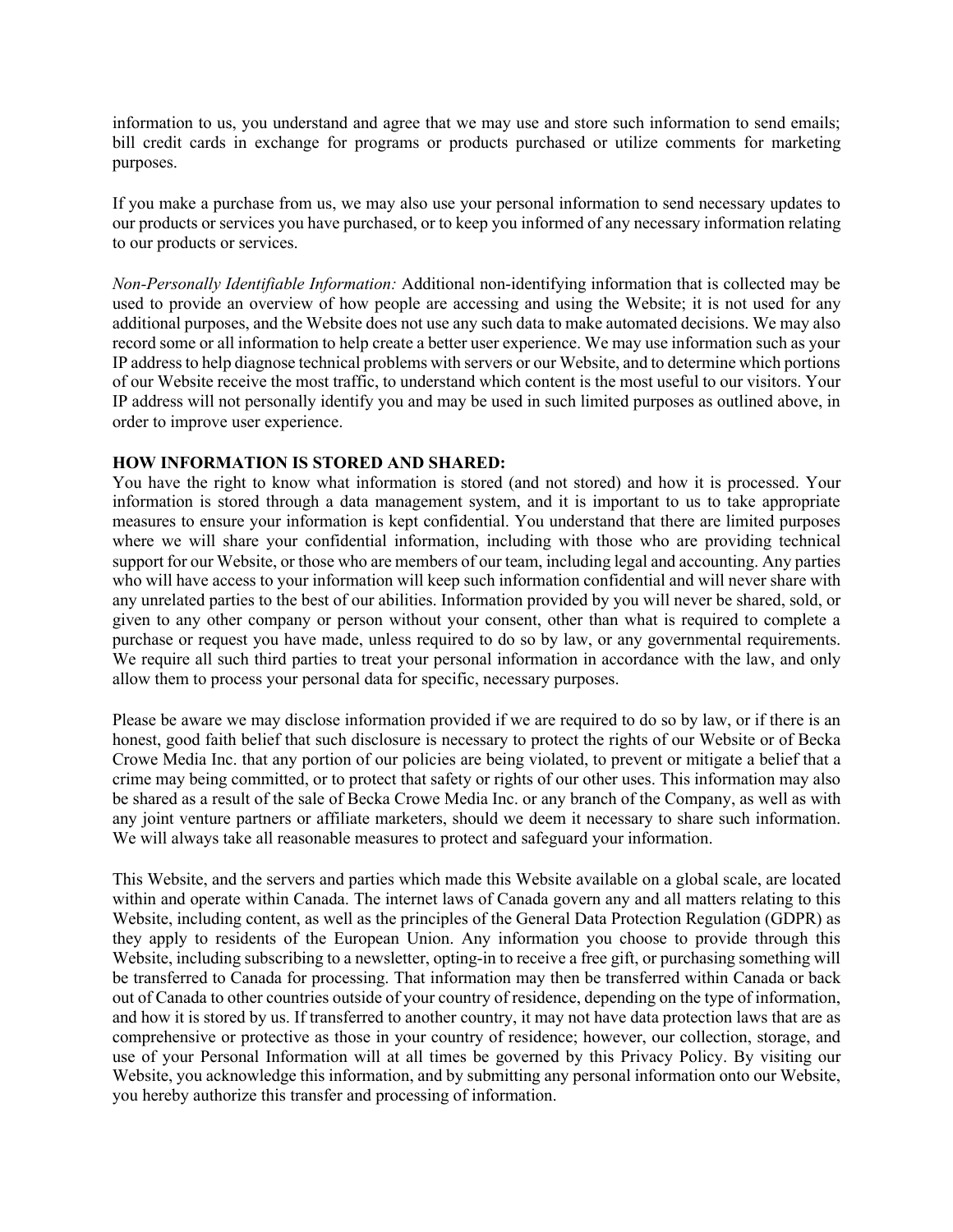information to us, you understand and agree that we may use and store such information to send emails; bill credit cards in exchange for programs or products purchased or utilize comments for marketing purposes.

If you make a purchase from us, we may also use your personal information to send necessary updates to our products or services you have purchased, or to keep you informed of any necessary information relating to our products or services.

*Non-Personally Identifiable Information:* Additional non-identifying information that is collected may be used to provide an overview of how people are accessing and using the Website; it is not used for any additional purposes, and the Website does not use any such data to make automated decisions. We may also record some or all information to help create a better user experience. We may use information such as your IP address to help diagnose technical problems with servers or our Website, and to determine which portions of our Website receive the most traffic, to understand which content is the most useful to our visitors. Your IP address will not personally identify you and may be used in such limited purposes as outlined above, in order to improve user experience.

# **HOW INFORMATION IS STORED AND SHARED:**

You have the right to know what information is stored (and not stored) and how it is processed. Your information is stored through a data management system, and it is important to us to take appropriate measures to ensure your information is kept confidential. You understand that there are limited purposes where we will share your confidential information, including with those who are providing technical support for our Website, or those who are members of our team, including legal and accounting. Any parties who will have access to your information will keep such information confidential and will never share with any unrelated parties to the best of our abilities. Information provided by you will never be shared, sold, or given to any other company or person without your consent, other than what is required to complete a purchase or request you have made, unless required to do so by law, or any governmental requirements. We require all such third parties to treat your personal information in accordance with the law, and only allow them to process your personal data for specific, necessary purposes.

Please be aware we may disclose information provided if we are required to do so by law, or if there is an honest, good faith belief that such disclosure is necessary to protect the rights of our Website or of Becka Crowe Media Inc. that any portion of our policies are being violated, to prevent or mitigate a belief that a crime may being committed, or to protect that safety or rights of our other uses. This information may also be shared as a result of the sale of Becka Crowe Media Inc. or any branch of the Company, as well as with any joint venture partners or affiliate marketers, should we deem it necessary to share such information. We will always take all reasonable measures to protect and safeguard your information.

This Website, and the servers and parties which made this Website available on a global scale, are located within and operate within Canada. The internet laws of Canada govern any and all matters relating to this Website, including content, as well as the principles of the General Data Protection Regulation (GDPR) as they apply to residents of the European Union. Any information you choose to provide through this Website, including subscribing to a newsletter, opting-in to receive a free gift, or purchasing something will be transferred to Canada for processing. That information may then be transferred within Canada or back out of Canada to other countries outside of your country of residence, depending on the type of information, and how it is stored by us. If transferred to another country, it may not have data protection laws that are as comprehensive or protective as those in your country of residence; however, our collection, storage, and use of your Personal Information will at all times be governed by this Privacy Policy. By visiting our Website, you acknowledge this information, and by submitting any personal information onto our Website, you hereby authorize this transfer and processing of information.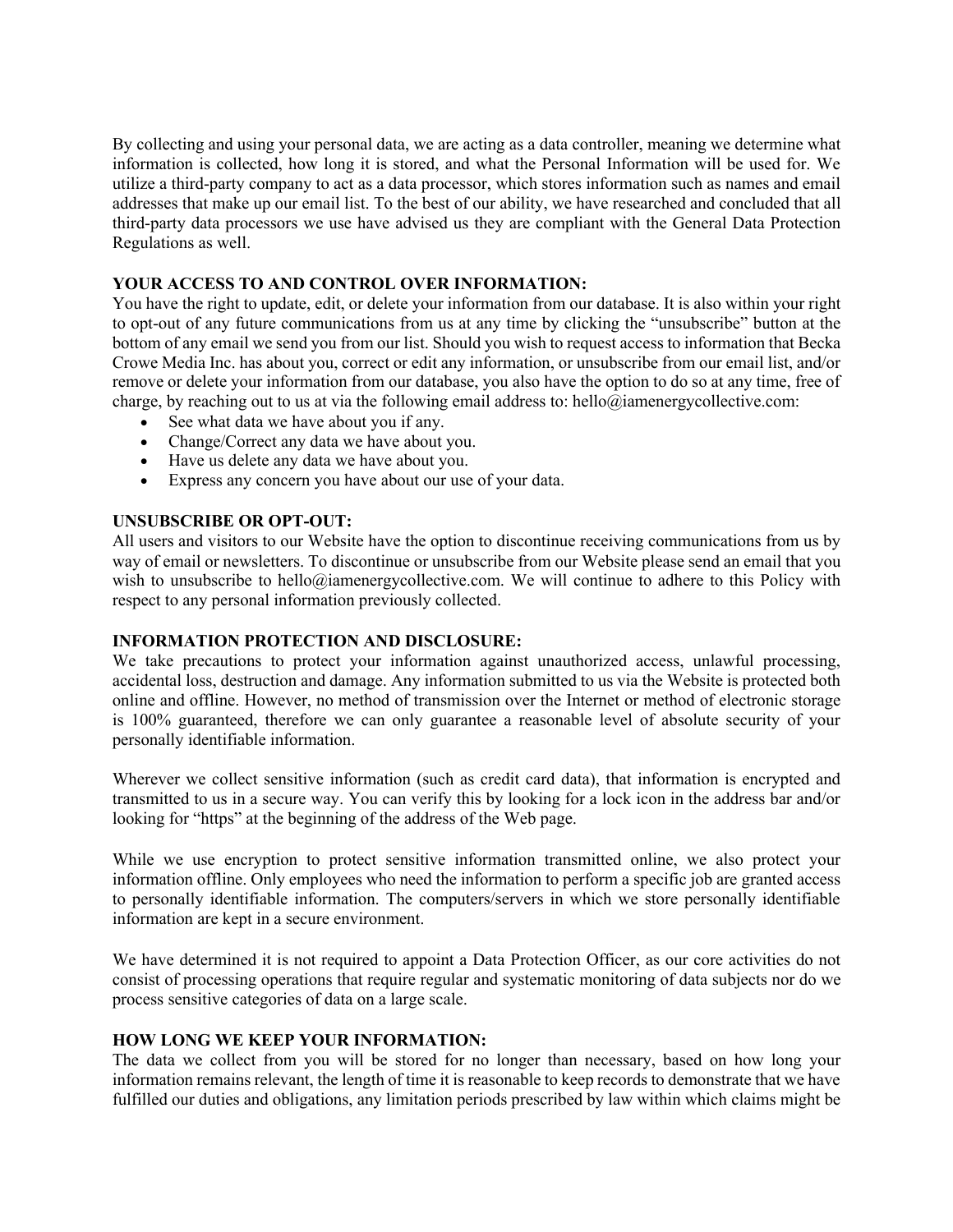By collecting and using your personal data, we are acting as a data controller, meaning we determine what information is collected, how long it is stored, and what the Personal Information will be used for. We utilize a third-party company to act as a data processor, which stores information such as names and email addresses that make up our email list. To the best of our ability, we have researched and concluded that all third-party data processors we use have advised us they are compliant with the General Data Protection Regulations as well.

### **YOUR ACCESS TO AND CONTROL OVER INFORMATION:**

You have the right to update, edit, or delete your information from our database. It is also within your right to opt-out of any future communications from us at any time by clicking the "unsubscribe" button at the bottom of any email we send you from our list. Should you wish to request access to information that Becka Crowe Media Inc. has about you, correct or edit any information, or unsubscribe from our email list, and/or remove or delete your information from our database, you also have the option to do so at any time, free of charge, by reaching out to us at via the following email address to: hello@iamenergycollective.com:

- See what data we have about you if any.
- Change/Correct any data we have about you.
- Have us delete any data we have about you.
- Express any concern you have about our use of your data.

### **UNSUBSCRIBE OR OPT-OUT:**

All users and visitors to our Website have the option to discontinue receiving communications from us by way of email or newsletters. To discontinue or unsubscribe from our Website please send an email that you wish to unsubscribe to hello@iamenergycollective.com. We will continue to adhere to this Policy with respect to any personal information previously collected.

### **INFORMATION PROTECTION AND DISCLOSURE:**

We take precautions to protect your information against unauthorized access, unlawful processing, accidental loss, destruction and damage. Any information submitted to us via the Website is protected both online and offline. However, no method of transmission over the Internet or method of electronic storage is 100% guaranteed, therefore we can only guarantee a reasonable level of absolute security of your personally identifiable information.

Wherever we collect sensitive information (such as credit card data), that information is encrypted and transmitted to us in a secure way. You can verify this by looking for a lock icon in the address bar and/or looking for "https" at the beginning of the address of the Web page.

While we use encryption to protect sensitive information transmitted online, we also protect your information offline. Only employees who need the information to perform a specific job are granted access to personally identifiable information. The computers/servers in which we store personally identifiable information are kept in a secure environment.

We have determined it is not required to appoint a Data Protection Officer, as our core activities do not consist of processing operations that require regular and systematic monitoring of data subjects nor do we process sensitive categories of data on a large scale.

### **HOW LONG WE KEEP YOUR INFORMATION:**

The data we collect from you will be stored for no longer than necessary, based on how long your information remains relevant, the length of time it is reasonable to keep records to demonstrate that we have fulfilled our duties and obligations, any limitation periods prescribed by law within which claims might be